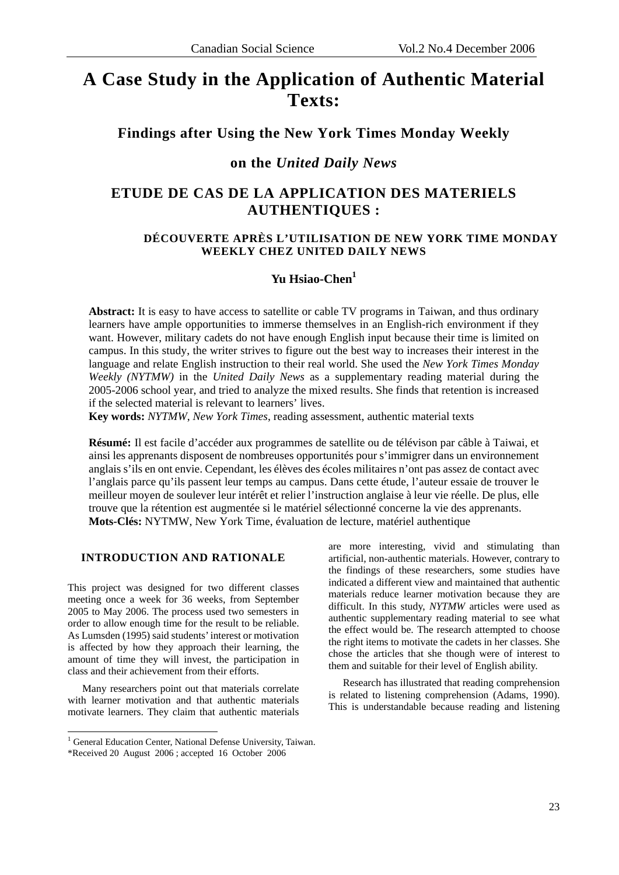# **A Case Study in the Application of Authentic Material Texts:**

# **Findings after Using the New York Times Monday Weekly**

# **on the** *United Daily News*

# **ETUDE DE CAS DE LA APPLICATION DES MATERIELS AUTHENTIQUES :**

## **DÉCOUVERTE APRÈS L'UTILISATION DE NEW YORK TIME MONDAY WEEKLY CHEZ UNITED DAILY NEWS**

# **Yu Hsiao-Chen<sup>1</sup>**

**Abstract:** It is easy to have access to satellite or cable TV programs in Taiwan, and thus ordinary learners have ample opportunities to immerse themselves in an English-rich environment if they want. However, military cadets do not have enough English input because their time is limited on campus. In this study, the writer strives to figure out the best way to increases their interest in the language and relate English instruction to their real world. She used the *New York Times Monday Weekly (NYTMW)* in the *United Daily News* as a supplementary reading material during the 2005-2006 school year, and tried to analyze the mixed results. She finds that retention is increased if the selected material is relevant to learners' lives.

**Key words:** *NYTMW*, *New York Times*, reading assessment, authentic material texts

**Résumé:** Il est facile d'accéder aux programmes de satellite ou de télévison par câble à Taiwai, et ainsi les apprenants disposent de nombreuses opportunités pour s'immigrer dans un environnement anglais s'ils en ont envie. Cependant, les élèves des écoles militaires n'ont pas assez de contact avec l'anglais parce qu'ils passent leur temps au campus. Dans cette étude, l'auteur essaie de trouver le meilleur moyen de soulever leur intérêt et relier l'instruction anglaise à leur vie réelle. De plus, elle trouve que la rétention est augmentée si le matériel sélectionné concerne la vie des apprenants. **Mots-Clés:** NYTMW, New York Time, évaluation de lecture, matériel authentique

#### **INTRODUCTION AND RATIONALE**

This project was designed for two different classes meeting once a week for 36 weeks, from September 2005 to May 2006. The process used two semesters in order to allow enough time for the result to be reliable. As Lumsden (1995) said students' interest or motivation is affected by how they approach their learning, the amount of time they will invest, the participation in class and their achievement from their efforts.

Many researchers point out that materials correlate with learner motivation and that authentic materials motivate learners. They claim that authentic materials

are more interesting, vivid and stimulating than artificial, non-authentic materials. However, contrary to the findings of these researchers, some studies have indicated a different view and maintained that authentic materials reduce learner motivation because they are difficult. In this study, *NYTMW* articles were used as authentic supplementary reading material to see what the effect would be. The research attempted to choose the right items to motivate the cadets in her classes. She chose the articles that she though were of interest to them and suitable for their level of English ability.

Research has illustrated that reading comprehension is related to listening comprehension (Adams, 1990). This is understandable because reading and listening

<u>.</u>

<sup>&</sup>lt;sup>1</sup> General Education Center, National Defense University, Taiwan.

<sup>\*</sup>Received 20 August 2006 ; accepted 16 October 2006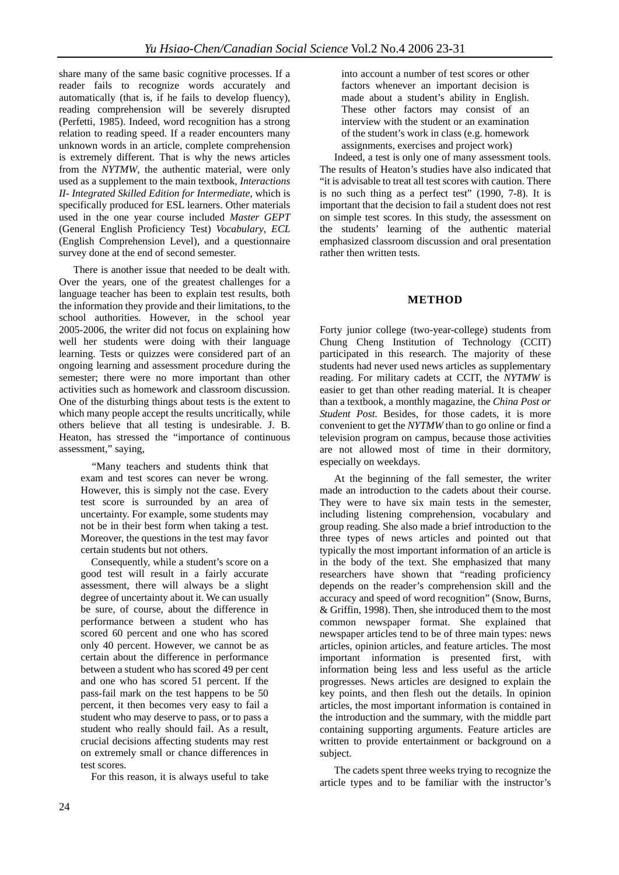share many of the same basic cognitive processes. If a reader fails to recognize words accurately and automatically (that is, if he fails to develop fluency), reading comprehension will be severely disrupted (Perfetti, 1985). Indeed, word recognition has a strong relation to reading speed. If a reader encounters many unknown words in an article, complete comprehension is extremely different. That is why the news articles from the *NYTMW*, the authentic material, were only used as a supplement to the main textbook, *Interactions II- Integrated Skilled Edition for Intermediate*, which is specifically produced for ESL learners. Other materials used in the one year course included *Master GEPT* (General English Proficiency Test) *Vocabulary*, *ECL*  (English Comprehension Level), and a questionnaire survey done at the end of second semester.

There is another issue that needed to be dealt with. Over the years, one of the greatest challenges for a language teacher has been to explain test results, both the information they provide and their limitations, to the school authorities. However, in the school year 2005-2006, the writer did not focus on explaining how well her students were doing with their language learning. Tests or quizzes were considered part of an ongoing learning and assessment procedure during the semester; there were no more important than other activities such as homework and classroom discussion. One of the disturbing things about tests is the extent to which many people accept the results uncritically, while others believe that all testing is undesirable. J. B. Heaton, has stressed the "importance of continuous assessment," saying,

"Many teachers and students think that exam and test scores can never be wrong. However, this is simply not the case. Every test score is surrounded by an area of uncertainty. For example, some students may not be in their best form when taking a test. Moreover, the questions in the test may favor certain students but not others.

Consequently, while a student's score on a good test will result in a fairly accurate assessment, there will always be a slight degree of uncertainty about it. We can usually be sure, of course, about the difference in performance between a student who has scored 60 percent and one who has scored only 40 percent. However, we cannot be as certain about the difference in performance between a student who has scored 49 per cent and one who has scored 51 percent. If the pass-fail mark on the test happens to be 50 percent, it then becomes very easy to fail a student who may deserve to pass, or to pass a student who really should fail. As a result, crucial decisions affecting students may rest on extremely small or chance differences in test scores.

For this reason, it is always useful to take

into account a number of test scores or other factors whenever an important decision is made about a student's ability in English. These other factors may consist of an interview with the student or an examination of the student's work in class (e.g. homework assignments, exercises and project work)

Indeed, a test is only one of many assessment tools. The results of Heaton's studies have also indicated that "it is advisable to treat all test scores with caution. There is no such thing as a perfect test" (1990, 7-8). It is important that the decision to fail a student does not rest on simple test scores. In this study, the assessment on the students' learning of the authentic material emphasized classroom discussion and oral presentation rather then written tests.

# **METHOD**

Forty junior college (two-year-college) students from Chung Cheng Institution of Technology (CCIT) participated in this research. The majority of these students had never used news articles as supplementary reading. For military cadets at CCIT, the *NYTMW* is easier to get than other reading material. It is cheaper than a textbook, a monthly magazine, the *China Post or Student Post.* Besides, for those cadets, it is more convenient to get the *NYTMW* than to go online or find a television program on campus, because those activities are not allowed most of time in their dormitory, especially on weekdays.

At the beginning of the fall semester, the writer made an introduction to the cadets about their course. They were to have six main tests in the semester, including listening comprehension, vocabulary and group reading. She also made a brief introduction to the three types of news articles and pointed out that typically the most important information of an article is in the body of the text. She emphasized that many researchers have shown that "reading proficiency depends on the reader's comprehension skill and the accuracy and speed of word recognition" (Snow, Burns, & Griffin, 1998). Then, she introduced them to the most common newspaper format. She explained that newspaper articles tend to be of three main types: news articles, opinion articles, and feature articles. The most important information is presented first, with information being less and less useful as the article progresses. News articles are designed to explain the key points, and then flesh out the details. In opinion articles, the most important information is contained in the introduction and the summary, with the middle part containing supporting arguments. Feature articles are written to provide entertainment or background on a subject.

The cadets spent three weeks trying to recognize the article types and to be familiar with the instructor's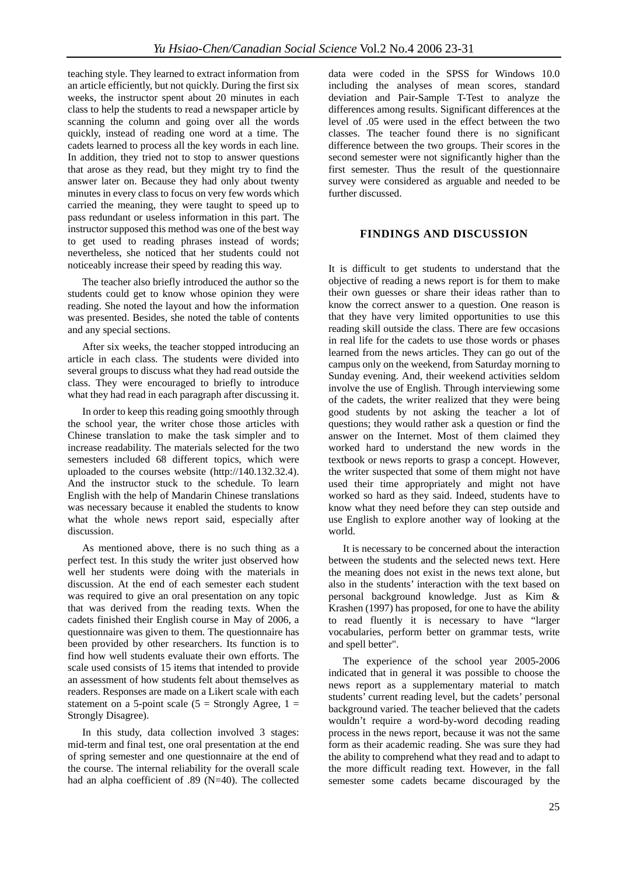teaching style. They learned to extract information from an article efficiently, but not quickly. During the first six weeks, the instructor spent about 20 minutes in each class to help the students to read a newspaper article by scanning the column and going over all the words quickly, instead of reading one word at a time. The cadets learned to process all the key words in each line. In addition, they tried not to stop to answer questions that arose as they read, but they might try to find the answer later on. Because they had only about twenty minutes in every class to focus on very few words which carried the meaning, they were taught to speed up to pass redundant or useless information in this part. The instructor supposed this method was one of the best way to get used to reading phrases instead of words; nevertheless, she noticed that her students could not noticeably increase their speed by reading this way.

The teacher also briefly introduced the author so the students could get to know whose opinion they were reading. She noted the layout and how the information was presented. Besides, she noted the table of contents and any special sections.

After six weeks, the teacher stopped introducing an article in each class. The students were divided into several groups to discuss what they had read outside the class. They were encouraged to briefly to introduce what they had read in each paragraph after discussing it.

In order to keep this reading going smoothly through the school year, the writer chose those articles with Chinese translation to make the task simpler and to increase readability. The materials selected for the two semesters included 68 different topics, which were uploaded to the courses website (http://140.132.32.4). And the instructor stuck to the schedule. To learn English with the help of Mandarin Chinese translations was necessary because it enabled the students to know what the whole news report said, especially after discussion.

As mentioned above, there is no such thing as a perfect test. In this study the writer just observed how well her students were doing with the materials in discussion. At the end of each semester each student was required to give an oral presentation on any topic that was derived from the reading texts. When the cadets finished their English course in May of 2006, a questionnaire was given to them. The questionnaire has been provided by other researchers. Its function is to find how well students evaluate their own efforts. The scale used consists of 15 items that intended to provide an assessment of how students felt about themselves as readers. Responses are made on a Likert scale with each statement on a 5-point scale ( $5 =$  Strongly Agree,  $1 =$ Strongly Disagree).

In this study, data collection involved 3 stages: mid-term and final test, one oral presentation at the end of spring semester and one questionnaire at the end of the course. The internal reliability for the overall scale had an alpha coefficient of .89 (N=40). The collected

data were coded in the SPSS for Windows 10.0 including the analyses of mean scores, standard deviation and Pair-Sample T-Test to analyze the differences among results. Significant differences at the level of .05 were used in the effect between the two classes. The teacher found there is no significant difference between the two groups. Their scores in the second semester were not significantly higher than the first semester. Thus the result of the questionnaire survey were considered as arguable and needed to be further discussed.

#### **FINDINGS AND DISCUSSION**

It is difficult to get students to understand that the objective of reading a news report is for them to make their own guesses or share their ideas rather than to know the correct answer to a question. One reason is that they have very limited opportunities to use this reading skill outside the class. There are few occasions in real life for the cadets to use those words or phases learned from the news articles. They can go out of the campus only on the weekend, from Saturday morning to Sunday evening. And, their weekend activities seldom involve the use of English. Through interviewing some of the cadets, the writer realized that they were being good students by not asking the teacher a lot of questions; they would rather ask a question or find the answer on the Internet. Most of them claimed they worked hard to understand the new words in the textbook or news reports to grasp a concept. However, the writer suspected that some of them might not have used their time appropriately and might not have worked so hard as they said. Indeed, students have to know what they need before they can step outside and use English to explore another way of looking at the world.

It is necessary to be concerned about the interaction between the students and the selected news text. Here the meaning does not exist in the news text alone, but also in the students' interaction with the text based on personal background knowledge. Just as Kim & Krashen (1997) has proposed, for one to have the ability to read fluently it is necessary to have "larger vocabularies, perform better on grammar tests, write and spell better".

The experience of the school year 2005-2006 indicated that in general it was possible to choose the news report as a supplementary material to match students' current reading level, but the cadets' personal background varied. The teacher believed that the cadets wouldn't require a word-by-word decoding reading process in the news report, because it was not the same form as their academic reading. She was sure they had the ability to comprehend what they read and to adapt to the more difficult reading text. However, in the fall semester some cadets became discouraged by the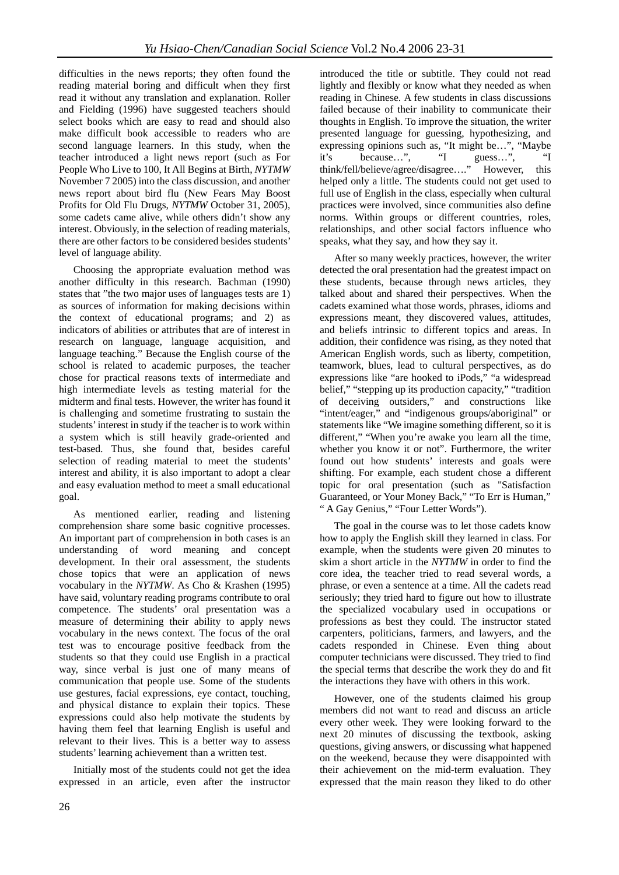difficulties in the news reports; they often found the reading material boring and difficult when they first read it without any translation and explanation. Roller and Fielding (1996) have suggested teachers should select books which are easy to read and should also make difficult book accessible to readers who are second language learners. In this study, when the teacher introduced a light news report (such as For People Who Live to 100, It All Begins at Birth, *NYTMW*  November 7 2005) into the class discussion, and another news report about bird flu (New Fears May Boost Profits for Old Flu Drugs, *NYTMW* October 31, 2005), some cadets came alive, while others didn't show any interest. Obviously, in the selection of reading materials, there are other factors to be considered besides students' level of language ability.

Choosing the appropriate evaluation method was another difficulty in this research. Bachman (1990) states that "the two major uses of languages tests are 1) as sources of information for making decisions within the context of educational programs; and 2) as indicators of abilities or attributes that are of interest in research on language, language acquisition, and language teaching." Because the English course of the school is related to academic purposes, the teacher chose for practical reasons texts of intermediate and high intermediate levels as testing material for the midterm and final tests. However, the writer has found it is challenging and sometime frustrating to sustain the students' interest in study if the teacher is to work within a system which is still heavily grade-oriented and test-based. Thus, she found that, besides careful selection of reading material to meet the students' interest and ability, it is also important to adopt a clear and easy evaluation method to meet a small educational goal.

As mentioned earlier, reading and listening comprehension share some basic cognitive processes. An important part of comprehension in both cases is an understanding of word meaning and concept development. In their oral assessment, the students chose topics that were an application of news vocabulary in the *NYTMW*. As Cho & Krashen (1995) have said, voluntary reading programs contribute to oral competence. The students' oral presentation was a measure of determining their ability to apply news vocabulary in the news context. The focus of the oral test was to encourage positive feedback from the students so that they could use English in a practical way, since verbal is just one of many means of communication that people use. Some of the students use gestures, facial expressions, eye contact, touching, and physical distance to explain their topics. These expressions could also help motivate the students by having them feel that learning English is useful and relevant to their lives. This is a better way to assess students' learning achievement than a written test.

Initially most of the students could not get the idea expressed in an article, even after the instructor

introduced the title or subtitle. They could not read lightly and flexibly or know what they needed as when reading in Chinese. A few students in class discussions failed because of their inability to communicate their thoughts in English. To improve the situation, the writer presented language for guessing, hypothesizing, and expressing opinions such as, "It might be...", "Maybe it's because...". "I guess...", "I it's because…", "I guess…", "I think/fell/believe/agree/disagree…." However, this helped only a little. The students could not get used to full use of English in the class, especially when cultural practices were involved, since communities also define norms. Within groups or different countries, roles, relationships, and other social factors influence who speaks, what they say, and how they say it.

After so many weekly practices, however, the writer detected the oral presentation had the greatest impact on these students, because through news articles, they talked about and shared their perspectives. When the cadets examined what those words, phrases, idioms and expressions meant, they discovered values, attitudes, and beliefs intrinsic to different topics and areas. In addition, their confidence was rising, as they noted that American English words, such as liberty, competition, teamwork, blues, lead to cultural perspectives, as do expressions like "are hooked to iPods," "a widespread belief," "stepping up its production capacity," "tradition of deceiving outsiders," and constructions like "intent/eager," and "indigenous groups/aboriginal" or statements like "We imagine something different, so it is different," "When you're awake you learn all the time, whether you know it or not". Furthermore, the writer found out how students' interests and goals were shifting. For example, each student chose a different topic for oral presentation (such as "Satisfaction Guaranteed, or Your Money Back," "To Err is Human," " A Gay Genius," "Four Letter Words").

The goal in the course was to let those cadets know how to apply the English skill they learned in class. For example, when the students were given 20 minutes to skim a short article in the *NYTMW* in order to find the core idea, the teacher tried to read several words, a phrase, or even a sentence at a time. All the cadets read seriously; they tried hard to figure out how to illustrate the specialized vocabulary used in occupations or professions as best they could. The instructor stated carpenters, politicians, farmers, and lawyers, and the cadets responded in Chinese. Even thing about computer technicians were discussed. They tried to find the special terms that describe the work they do and fit the interactions they have with others in this work.

However, one of the students claimed his group members did not want to read and discuss an article every other week. They were looking forward to the next 20 minutes of discussing the textbook, asking questions, giving answers, or discussing what happened on the weekend, because they were disappointed with their achievement on the mid-term evaluation. They expressed that the main reason they liked to do other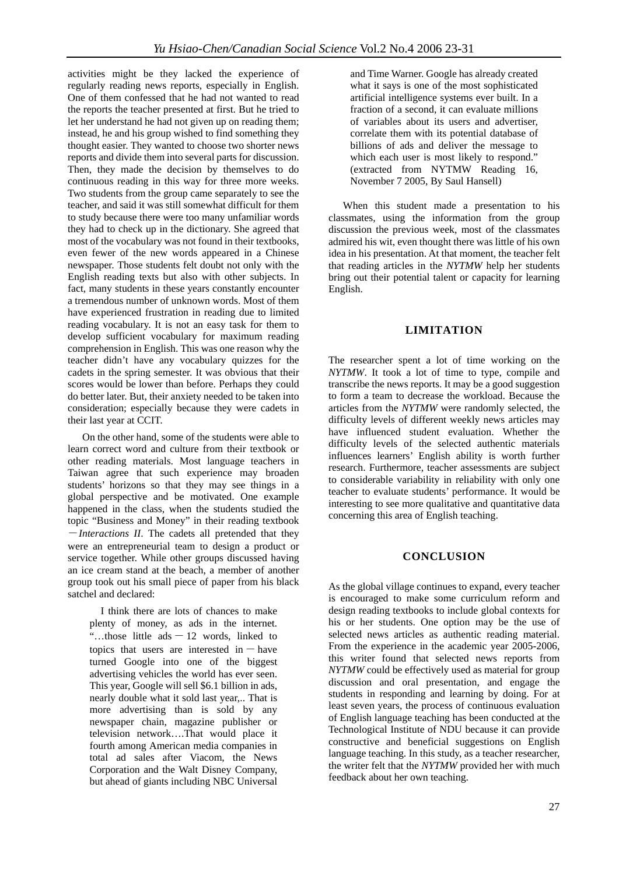activities might be they lacked the experience of regularly reading news reports, especially in English. One of them confessed that he had not wanted to read the reports the teacher presented at first. But he tried to let her understand he had not given up on reading them; instead, he and his group wished to find something they thought easier. They wanted to choose two shorter news reports and divide them into several parts for discussion. Then, they made the decision by themselves to do continuous reading in this way for three more weeks. Two students from the group came separately to see the teacher, and said it was still somewhat difficult for them to study because there were too many unfamiliar words they had to check up in the dictionary. She agreed that most of the vocabulary was not found in their textbooks, even fewer of the new words appeared in a Chinese newspaper. Those students felt doubt not only with the English reading texts but also with other subjects. In fact, many students in these years constantly encounter a tremendous number of unknown words. Most of them have experienced frustration in reading due to limited reading vocabulary. It is not an easy task for them to develop sufficient vocabulary for maximum reading comprehension in English. This was one reason why the teacher didn't have any vocabulary quizzes for the cadets in the spring semester. It was obvious that their scores would be lower than before. Perhaps they could do better later. But, their anxiety needed to be taken into consideration; especially because they were cadets in their last year at CCIT.

On the other hand, some of the students were able to learn correct word and culture from their textbook or other reading materials. Most language teachers in Taiwan agree that such experience may broaden students' horizons so that they may see things in a global perspective and be motivated. One example happened in the class, when the students studied the topic "Business and Money" in their reading textbook -*Interactions II*. The cadets all pretended that they were an entrepreneurial team to design a product or service together. While other groups discussed having an ice cream stand at the beach, a member of another group took out his small piece of paper from his black satchel and declared:

I think there are lots of chances to make plenty of money, as ads in the internet. "...those little ads  $-12$  words, linked to topics that users are interested in  $-$  have turned Google into one of the biggest advertising vehicles the world has ever seen. This year, Google will sell \$6.1 billion in ads, nearly double what it sold last year,.. That is more advertising than is sold by any newspaper chain, magazine publisher or television network….That would place it fourth among American media companies in total ad sales after Viacom, the News Corporation and the Walt Disney Company, but ahead of giants including NBC Universal

and Time Warner. Google has already created what it says is one of the most sophisticated artificial intelligence systems ever built. In a fraction of a second, it can evaluate millions of variables about its users and advertiser, correlate them with its potential database of billions of ads and deliver the message to which each user is most likely to respond." (extracted from NYTMW Reading 16, November 7 2005, By Saul Hansell)

When this student made a presentation to his classmates, using the information from the group discussion the previous week, most of the classmates admired his wit, even thought there was little of his own idea in his presentation. At that moment, the teacher felt that reading articles in the *NYTMW* help her students bring out their potential talent or capacity for learning English.

### **LIMITATION**

The researcher spent a lot of time working on the *NYTMW*. It took a lot of time to type, compile and transcribe the news reports. It may be a good suggestion to form a team to decrease the workload. Because the articles from the *NYTMW* were randomly selected, the difficulty levels of different weekly news articles may have influenced student evaluation. Whether the difficulty levels of the selected authentic materials influences learners' English ability is worth further research. Furthermore, teacher assessments are subject to considerable variability in reliability with only one teacher to evaluate students' performance. It would be interesting to see more qualitative and quantitative data concerning this area of English teaching.

#### **CONCLUSION**

As the global village continues to expand, every teacher is encouraged to make some curriculum reform and design reading textbooks to include global contexts for his or her students. One option may be the use of selected news articles as authentic reading material. From the experience in the academic year 2005-2006, this writer found that selected news reports from *NYTMW* could be effectively used as material for group discussion and oral presentation, and engage the students in responding and learning by doing. For at least seven years, the process of continuous evaluation of English language teaching has been conducted at the Technological Institute of NDU because it can provide constructive and beneficial suggestions on English language teaching. In this study, as a teacher researcher, the writer felt that the *NYTMW* provided her with much feedback about her own teaching.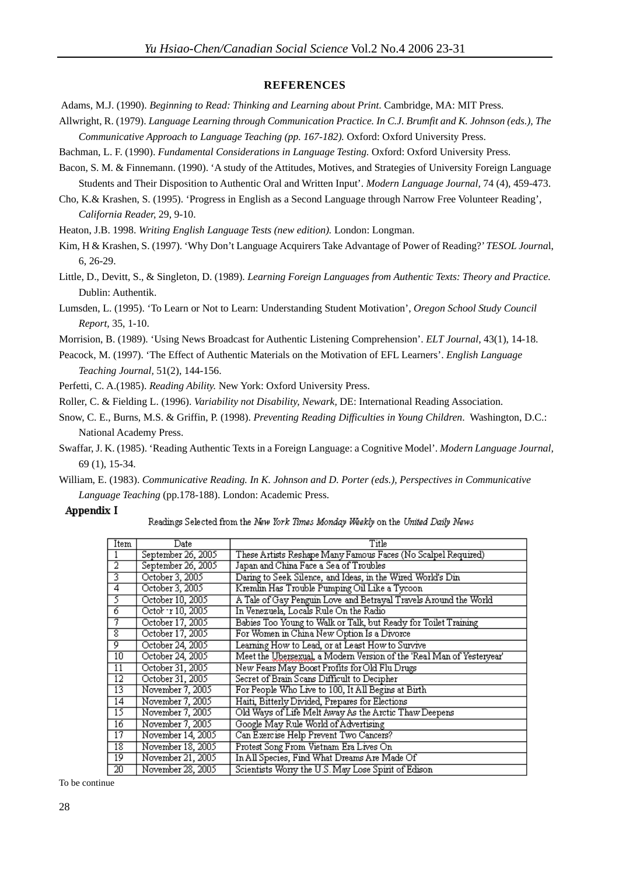#### **REFERENCES**

- Adams, M.J. (1990). *Beginning to Read: Thinking and Learning about Print*. Cambridge, MA: MIT Press.
- Allwright, R. (1979). *Language Learning through Communication Practice. In C.J. Brumfit and K. Johnson (eds.), The Communicative Approach to Language Teaching (pp. 167-182).* Oxford: Oxford University Press.
- Bachman, L. F. (1990). *Fundamental Considerations in Language Testing.* Oxford: Oxford University Press.
- Bacon, S. M. & Finnemann. (1990). 'A study of the Attitudes, Motives, and Strategies of University Foreign Language Students and Their Disposition to Authentic Oral and Written Input'. *Modern Language Journal,* 74 (4), 459-473.
- Cho, K.& Krashen, S. (1995). 'Progress in English as a Second Language through Narrow Free Volunteer Reading', *California Reader,* 29, 9-10.

Heaton, J.B. 1998. *Writing English Language Tests (new edition).* London: Longman.

Kim, H & Krashen, S. (1997). 'Why Don't Language Acquirers Take Advantage of Power of Reading?' *TESOL Journa*l, 6, 26-29.

Little, D., Devitt, S., & Singleton, D. (1989). *Learning Foreign Languages from Authentic Texts: Theory and Practice.*  Dublin: Authentik.

Lumsden, L. (1995). 'To Learn or Not to Learn: Understanding Student Motivation', *Oregon School Study Council Report,* 35, 1-10.

Morrision, B. (1989). 'Using News Broadcast for Authentic Listening Comprehension'. *ELT Journal*, 43(1), 14-18.

Peacock, M. (1997). 'The Effect of Authentic Materials on the Motivation of EFL Learners'. *English Language Teaching Journal,* 51(2), 144-156.

Perfetti, C. A.(1985). *Reading Ability.* New York: Oxford University Press.

Roller, C. & Fielding L. (1996). *Variability not Disability, Newark,* DE: International Reading Association.

- Snow, C. E., Burns, M.S. & Griffin, P. (1998). *Preventing Reading Difficulties in Young Children*. Washington, D.C.: National Academy Press.
- Swaffar, J. K. (1985). 'Reading Authentic Texts in a Foreign Language: a Cognitive Model'. *Modern Language Journal,*  69 (1), 15-34.
- William, E. (1983). *Communicative Reading. In K. Johnson and D. Porter (eds.), Perspectives in Communicative Language Teaching* (pp.178-188). London: Academic Press.

#### Appendix I

#### Readings Selected from the New York Times Monday Weekly on the United Daily News

| Item            | Date               | Title                                                                 |
|-----------------|--------------------|-----------------------------------------------------------------------|
|                 | September 26, 2005 | These Artists Reshape Many Famous Faces (No Scalpel Required)         |
| 2               | September 26, 2005 | Japan and China Face a Sea of Troubles                                |
| 3               | October 3, 2005    | Daring to Seek Silence, and Ideas, in the Wired World's Din           |
| 4               | October 3, 2005    | Kremlin Has Trouble Pumping Oil Like a Tycoon                         |
| 5               | October 10, 2005   | A Tale of Gay Penguin Love and Betrayal Travels Around the World      |
| 6               | Octob · r 10, 2005 | In Venezuela, Locals Rule On the Radio                                |
|                 | October 17, 2005   | Babies Too Young to Walk or Talk, but Ready for Toilet Training       |
| 8               | October 17, 2005   | For Women in China New Option Is a Divorce                            |
| ō               | October 24, 2005   | Learning How to Lead, or at Least How to Survive                      |
| 10              | October 24, 2005   | Meet the Ubersexual, a Modern Version of the 'Real Man of Yesteryear' |
| $\overline{11}$ | October 31, 2005   | New Fears May Boost Profits for Old Flu Drugs                         |
| $\overline{12}$ | October 31, 2005   | Secret of Brain Scans Difficult to Decipher                           |
| 13              | November 7, 2005   | For People Who Live to 100, It All Begins at Birth                    |
| 14              | November 7, 2005   | Haiti, Bitterly Divided, Prepares for Elections                       |
| 15              | November 7, 2005   | Old Ways of Life Melt Away As the Arctic Thaw Deepens                 |
| 16              | November 7, 2005   | Google May Rule World of Advertising                                  |
| $\overline{17}$ | November 14, 2005  | Can Exercise Help Prevent Two Cancers?                                |
| $\overline{18}$ | November 18, 2005  | Protest Song From Vietnam Era Lives On                                |
| $\overline{19}$ | November 21, 2005  | In All Species, Find What Dreams Are Made Of                          |
| 20              | November 28, 2005  | Scientists Worry the U.S. May Lose Spirit of Edison                   |
| To be continue  |                    |                                                                       |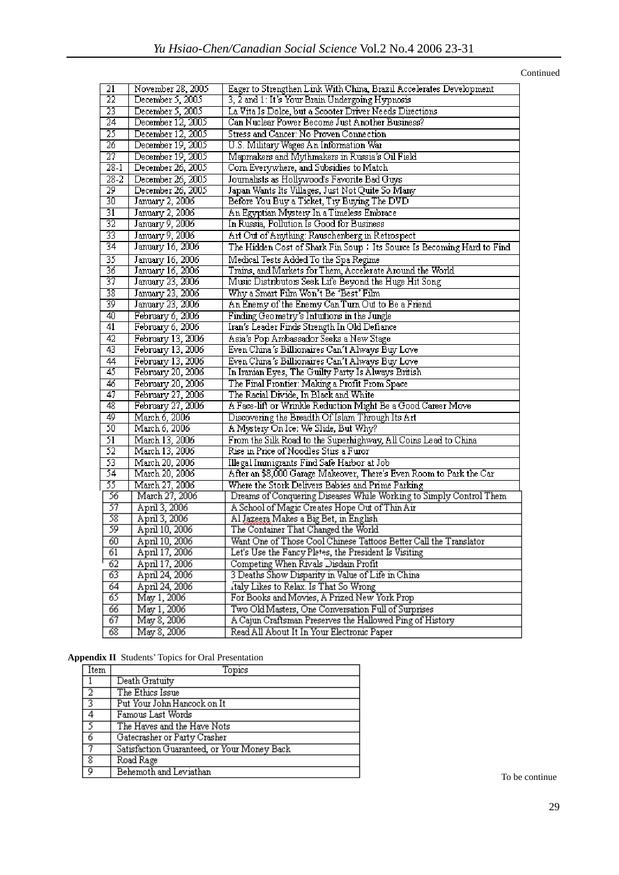Continued

| November 28, 2005<br>Eager to Strengthen Link With China, Brazil Accelerates Development<br>21<br>$\overline{22}$<br>December 5, 2005<br>3, 2 and 1: It's Your Brain Undergoing Hypnosis<br>$\overline{23}$<br>December 5, 2005<br>La Vita Is Dolce, but a Scooter Driver Needs Directions<br>$\overline{24}$<br>December 12, 2005<br>Can Nuclear Power Become Just Another Business?<br>25<br>December 12, 2005<br>Stress and Cancer: No Proven Connection |  |
|-------------------------------------------------------------------------------------------------------------------------------------------------------------------------------------------------------------------------------------------------------------------------------------------------------------------------------------------------------------------------------------------------------------------------------------------------------------|--|
|                                                                                                                                                                                                                                                                                                                                                                                                                                                             |  |
|                                                                                                                                                                                                                                                                                                                                                                                                                                                             |  |
|                                                                                                                                                                                                                                                                                                                                                                                                                                                             |  |
|                                                                                                                                                                                                                                                                                                                                                                                                                                                             |  |
| $\overline{26}$<br>December 19, 2005<br>U.S. Military Wages An Information War                                                                                                                                                                                                                                                                                                                                                                              |  |
| $\overline{27}$<br>December 19, 2005<br>Mapmakers and Mythmakers in Russia's Oil Field                                                                                                                                                                                                                                                                                                                                                                      |  |
| $28-1$<br>December 26, 2005<br>Com Everywhere, and Subsidies to Match                                                                                                                                                                                                                                                                                                                                                                                       |  |
| $\overline{28-2}$<br>Journalists as Hollywood's Favorite Bad Guys<br>December 26, 2005                                                                                                                                                                                                                                                                                                                                                                      |  |
| $\overline{29}$<br>Japan Wants Its Villages, Just Not Quite So Many<br>December 26, 2005                                                                                                                                                                                                                                                                                                                                                                    |  |
| $\overline{30}$<br>January 2, 2006<br>Before You Buy a Ticket, Try Buying The DVD                                                                                                                                                                                                                                                                                                                                                                           |  |
| $\overline{31}$<br>January 2, 2006<br>An Egyptian Mystery In a Timeless Embrace                                                                                                                                                                                                                                                                                                                                                                             |  |
| $\overline{32}$<br>In Russia, Pollution Is Good for Business<br>January 9, 2006                                                                                                                                                                                                                                                                                                                                                                             |  |
| $\overline{33}$<br>January 9, 2006<br>Art Out of Anything: Rauschenberg in Retrospect                                                                                                                                                                                                                                                                                                                                                                       |  |
| $\overline{34}$<br>January 16, 2006<br>The Hidden Cost of Shark Fin Soup: Its Source Is Becoming Hard to Find                                                                                                                                                                                                                                                                                                                                               |  |
| 35<br>January 16, 2006<br>Medical Tests Added To the Spa Regime                                                                                                                                                                                                                                                                                                                                                                                             |  |
| $\overline{36}$<br>Trains, and Markets for Them, Accelerate Around the World<br>January 16, 2006                                                                                                                                                                                                                                                                                                                                                            |  |
| 37<br>January 23, 2006<br>Music Distributors Seek Life Beyond the Huge Hit Song                                                                                                                                                                                                                                                                                                                                                                             |  |
| $\overline{38}$<br>January 23, 2006<br>Why a Smart Film Won't Be 'Best' Film                                                                                                                                                                                                                                                                                                                                                                                |  |
| $\overline{39}$<br>January 23, 2006<br>An Enemy of the Enemy Can Turn Out to Be a Friend                                                                                                                                                                                                                                                                                                                                                                    |  |
| 40<br>February 6, 2006<br>Finding Geometry's Intuitions in the Jungle                                                                                                                                                                                                                                                                                                                                                                                       |  |
| $\overline{41}$<br>Iran's Leader Finds Strength In Old Defiance<br>February 6, 2006                                                                                                                                                                                                                                                                                                                                                                         |  |
| $\overline{42}$<br>February 13, 2006<br>Asia's Pop Ambassador Seeks a New Stage                                                                                                                                                                                                                                                                                                                                                                             |  |
| 43<br>Even China's Billionaires Can't Always Buy Love<br>February 13, 2006                                                                                                                                                                                                                                                                                                                                                                                  |  |
| $\overline{44}$<br>February 13, 2006<br>Even China's Billionaires Can't Always Buy Love                                                                                                                                                                                                                                                                                                                                                                     |  |
| 45<br>February 20, 2006<br>In Iranian Eyes, The Guilty Party Is Always British                                                                                                                                                                                                                                                                                                                                                                              |  |
| 46<br>February 20, 2006<br>The Final Frontier: Making a Profit From Space                                                                                                                                                                                                                                                                                                                                                                                   |  |
| 47<br>February 27, 2006<br>The Racial Divide, In Black and White                                                                                                                                                                                                                                                                                                                                                                                            |  |
| 48<br>February 27, 2006<br>A Face-lift or Wrinkle Reduction Might Be a Good Career Move                                                                                                                                                                                                                                                                                                                                                                     |  |
| 49<br>March 6, 2006<br>Discovering the Breadth Of Islam Through Its Art                                                                                                                                                                                                                                                                                                                                                                                     |  |
| 50<br>March 6, 2006<br>A Mystery On Ice: We Slide, But Why?                                                                                                                                                                                                                                                                                                                                                                                                 |  |
| 51<br>From the Silk Road to the Superhighway, All Coins Lead to China<br>March 13, 2006                                                                                                                                                                                                                                                                                                                                                                     |  |
| 52<br>Rise in Price of Noodles Stirs a Furor<br>March 13, 2006                                                                                                                                                                                                                                                                                                                                                                                              |  |
| 53<br>March 20, 2006<br>Illegal Immigrants Find Safe Harbor at Job                                                                                                                                                                                                                                                                                                                                                                                          |  |
| 54<br>After an \$8,000 Garage Makeover, There's Even Room to Park the Car<br>March 20, 2006                                                                                                                                                                                                                                                                                                                                                                 |  |
| 55<br>March 27, 2006<br>Where the Stork Delivers Babies and Prime Parking                                                                                                                                                                                                                                                                                                                                                                                   |  |
| 56<br>Dreams of Conquering Diseases While Working to Simply Control Them<br>March 27, 2006                                                                                                                                                                                                                                                                                                                                                                  |  |
| 57<br>April 3, 2006<br>A School of Magic Creates Hope Out of Thin Air                                                                                                                                                                                                                                                                                                                                                                                       |  |
| 58<br>April 3, 2006<br>Al Jazeera Makes a Big Bet, in English                                                                                                                                                                                                                                                                                                                                                                                               |  |
| 59<br>The Container That Changed the World<br>April 10, 2006                                                                                                                                                                                                                                                                                                                                                                                                |  |
| 60<br>Want One of Those Cool Chinese Tattoos Better Call the Translator<br>April 10, 2006                                                                                                                                                                                                                                                                                                                                                                   |  |
| April 17, 2006<br>Let's Use the Fancy Pletes, the President Is Visiting<br>61                                                                                                                                                                                                                                                                                                                                                                               |  |
| $\overline{62}$<br>April 17, 2006<br>Competing When Rivals Disdain Profit                                                                                                                                                                                                                                                                                                                                                                                   |  |
| 63<br>April 24, 2006<br>3 Deaths Show Disparity in Value of Life in China                                                                                                                                                                                                                                                                                                                                                                                   |  |
| $\overline{64}$<br>italy Likes to Relax. Is That So Wrong<br>April 24, 2006                                                                                                                                                                                                                                                                                                                                                                                 |  |
| 65<br>For Books and Movies, A Prized New York Prop<br>May 1, 2006                                                                                                                                                                                                                                                                                                                                                                                           |  |
| 66<br>May 1, 2006<br>Two Old Masters, One Conversation Full of Surprises                                                                                                                                                                                                                                                                                                                                                                                    |  |
| 67<br>May 8, 2006<br>A Cajun Craftsman Preserves the Hallowed Ping of History                                                                                                                                                                                                                                                                                                                                                                               |  |
| $\overline{68}$<br>May 8, 2006<br>Read All About It In Your Electronic Paper                                                                                                                                                                                                                                                                                                                                                                                |  |

#### **Appendix II** Students' Topics for Oral Presentation

| Item            | Topics                                      |
|-----------------|---------------------------------------------|
| $\vert$ 1       | Death Gratuity                              |
| $\frac{2}{3}$   | The Ethics Issue                            |
|                 | Put Your John Hancock on It                 |
| $\overline{14}$ | Famous Last Words                           |
| 序               | The Haves and the Have Nots                 |
| 下6              | Gatecrasher or Party Crasher                |
| $\Box$          | Satisfaction Guaranteed, or Your Money Back |
| ষি              | Road Rage                                   |
| 冋               | Behemoth and Leviathan                      |

To be continue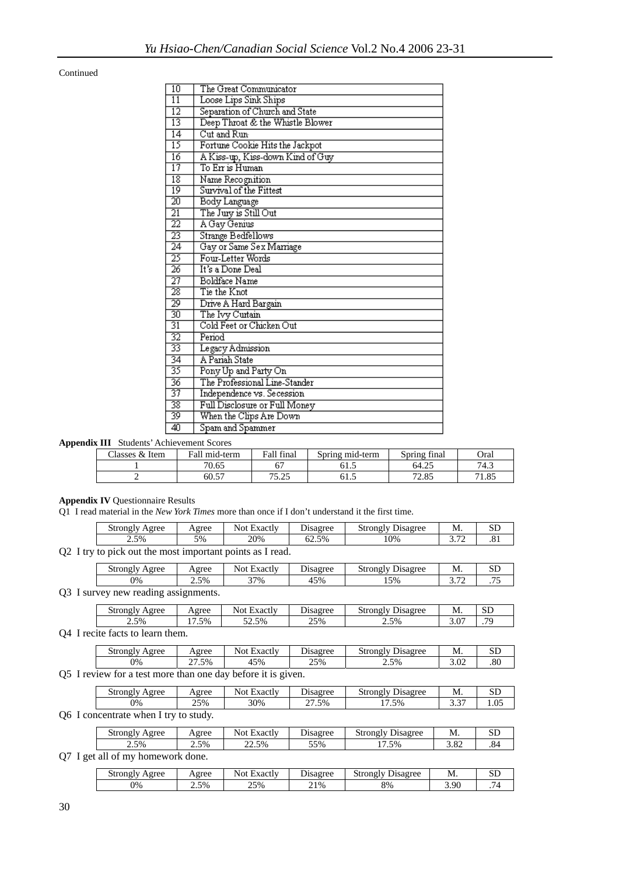**Continued** 

| 10              | The Great Communicator           |
|-----------------|----------------------------------|
| $\overline{11}$ | Loose Lips Sink Ships            |
| $\overline{12}$ | Separation of Church and State   |
| 13              | Deep Throat & the Whistle Blower |
| $\overline{14}$ | Cut and Run-                     |
| 15              | Fortune Cookie Hits the Jackpot  |
| $\overline{16}$ | A Kiss-up, Kiss-down Kind of Guy |
| 17              | To Err is Human                  |
| 18              | Name Recognition                 |
| $\overline{19}$ | Survival of the Fittest          |
| $\overline{20}$ | Body Language                    |
| $\overline{21}$ | The Jury is Still Out            |
| $\overline{22}$ | A Gay Genius                     |
| $\overline{23}$ | <b>Strange Bedfellows</b>        |
| 24              | Gay or Same Sex Marriage         |
| 25              | Four-Letter Words                |
| $\overline{26}$ | It's a Done Deal                 |
| $\overline{27}$ | Boldface Name                    |
| $\overline{28}$ | Tie the Knot                     |
| 29              | Drive A Hard Bargain             |
| 30              | The Ivy Curtain                  |
| $\overline{31}$ | Cold Feet or Chicken Out         |
| $\overline{32}$ | Period                           |
| 33              | Legacy Admission                 |
| $\overline{34}$ | A Pariah State                   |
| 35              | Pony Up and Party On             |
| $\overline{36}$ | The Professional Line-Stander    |
| 37              | Independence vs. Secession       |
| $\overline{38}$ | Full Disclosure or Full Money    |
| $\overline{39}$ | When the Clips Are Down          |
| 40              | Spam and Spammer                 |

**Appendix III** Students' Achievement Scores

| $\sim$<br>Classes & Item | Fall mid-term | Fall final       | Spring mid-term | $\sim$<br>Spring final | Oral  |
|--------------------------|---------------|------------------|-----------------|------------------------|-------|
|                          | 70.65         |                  | U I .J          | 64.25                  | 74.3  |
|                          | 60.57         | 75.25<br>ر ے . ر | U I .J          | 7205<br>2.OJ           | 71.85 |

**Appendix IV** Questionnaire Results

Q1 I read material in the *New York Times* more than once if I don't understand it the first time.

| 5%<br>$\sim$ $-$<br>2.5%<br>20%<br>.0%<br>62.5%<br>.01<br>-<br>ັ | Agree<br>strongly | $\triangle$ agree | `<br>⇁<br>Exactly<br>Not. | Jisagree | $\sim$<br>Disagree<br>strong' | M<br>171. | SD |
|------------------------------------------------------------------|-------------------|-------------------|---------------------------|----------|-------------------------------|-----------|----|
|                                                                  |                   |                   |                           |          |                               |           |    |

Q2 I try to pick out the most important points as I read.

| $\sim$<br>strongly<br>Agree | Agree | $\mathbf{r}$<br>Not<br>Exactiv | $\overline{ }$<br>Disagree | $\sim$<br><b>Strongly</b><br>Jisagree<br>້ | M.                        | ື          |
|-----------------------------|-------|--------------------------------|----------------------------|--------------------------------------------|---------------------------|------------|
| 0%                          | 2.5%  | 37%                            | 45%                        | 5%<br>⊥৺                                   | $\overline{ }$<br>ے ر. ر. | $- -$<br>. |
| $\sim$ $\sim$               |       |                                |                            |                                            |                           |            |

Q3 I survey new reading assignments.

| $\sim$<br>eree<br>' strongly | Agree                       | $\overline{\phantom{0}}$<br>`<br>Not<br>Exactly | $\overline{ }$<br>$q_{\alpha}$<br>Lisay | strongly<br>Disagree | M.            | $\alpha$ rn<br>باد |
|------------------------------|-----------------------------|-------------------------------------------------|-----------------------------------------|----------------------|---------------|--------------------|
| 2.5%                         | $\overline{ }$<br>5%<br>. . | 52.5%                                           | 25%                                     | 2.5%                 | $\sim$<br>J.V | $\pi$              |
| $\bullet$                    |                             |                                                 |                                         |                      |               |                    |

Q4 I recite facts to learn them.

| $\overline{\phantom{a}}$<br>Agree<br>strongly | Agree | Exactly<br>Not | -<br>Jisagree | Disagree<br>Strong'<br>IV. | -<br>М. | $\sim$ $\sim$<br>ىرى |
|-----------------------------------------------|-------|----------------|---------------|----------------------------|---------|----------------------|
| 0%                                            | 27.5% | 45%            | 25%           | 2.5%                       | 3.02    | $^{\circ}$<br>.ou    |
|                                               |       | -<br>--        |               |                            |         |                      |

Q5 I review for a test more than one day before it is given.

| strongly<br>Agree | Agree     | $\blacksquare$<br>Not<br>Exactly | -<br>Jisagree        | Strongly<br><b>Jisagree</b> | M.           | $\sim$ $\sim$<br>ىلە |
|-------------------|-----------|----------------------------------|----------------------|-----------------------------|--------------|----------------------|
| 0%                | 25%<br>رے | 30%                              | $\sim$<br>.5%<br>ر گ | $\overline{ }$<br>1.5%      | $\sim$<br>ັ້ | ∩ء<br>LU.I           |
|                   |           |                                  |                      |                             |              |                      |

Q6 I concentrate when I try to study.

| strongly<br>Agree | Agree | $\overline{\phantom{0}}$<br>Not<br>Exactiv | $\sim$<br><b>Disagree</b> | $\mathbf{r}$<br>Strongly<br>Disagree | N<br>171.   | ىرى |
|-------------------|-------|--------------------------------------------|---------------------------|--------------------------------------|-------------|-----|
| 2.5%              | 2.5%  | $\angle 2.5\%$                             | 55%                       | 5%<br>.                              | റ റ<br>3.OZ | .84 |

Q7 I get all of my homework done.

| strongly<br>vgree | Agree | $\cdot$<br>∽<br>Not<br>. Exactiv | isagree<br>Alsay : | $\sim$<br>strongly<br>hsagree | M.   | $\sim$ $\sim$<br>ىرى |
|-------------------|-------|----------------------------------|--------------------|-------------------------------|------|----------------------|
| 0%                | 2.5%  | 25%                              | $21\%$             | 8%                            | 3.90 | -<br>. ت             |